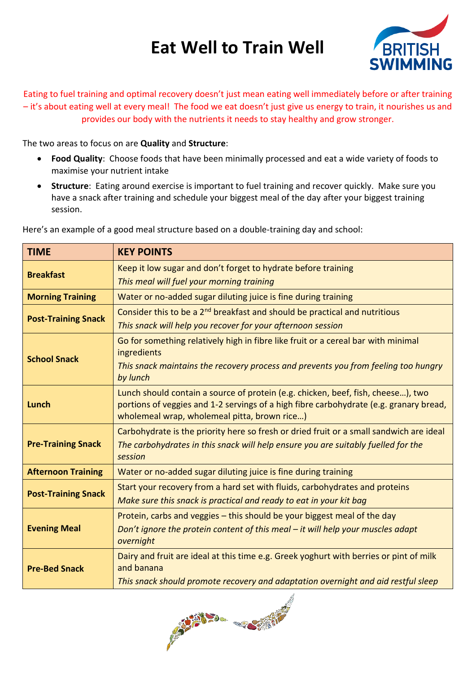## **Eat Well to Train Well**



Eating to fuel training and optimal recovery doesn't just mean eating well immediately before or after training – it's about eating well at every meal! The food we eat doesn't just give us energy to train, it nourishes us and provides our body with the nutrients it needs to stay healthy and grow stronger.

The two areas to focus on are **Quality** and **Structure**:

- **Food Quality**: Choose foods that have been minimally processed and eat a wide variety of foods to maximise your nutrient intake
- **Structure**: Eating around exercise is important to fuel training and recover quickly. Make sure you have a snack after training and schedule your biggest meal of the day after your biggest training session.

| <b>TIME</b>                | <b>KEY POINTS</b>                                                                                                                                                                                                          |  |  |
|----------------------------|----------------------------------------------------------------------------------------------------------------------------------------------------------------------------------------------------------------------------|--|--|
| <b>Breakfast</b>           | Keep it low sugar and don't forget to hydrate before training<br>This meal will fuel your morning training                                                                                                                 |  |  |
| <b>Morning Training</b>    | Water or no-added sugar diluting juice is fine during training                                                                                                                                                             |  |  |
| <b>Post-Training Snack</b> | Consider this to be a 2 <sup>nd</sup> breakfast and should be practical and nutritious<br>This snack will help you recover for your afternoon session                                                                      |  |  |
| <b>School Snack</b>        | Go for something relatively high in fibre like fruit or a cereal bar with minimal<br>ingredients<br>This snack maintains the recovery process and prevents you from feeling too hungry<br>by lunch                         |  |  |
| <b>Lunch</b>               | Lunch should contain a source of protein (e.g. chicken, beef, fish, cheese), two<br>portions of veggies and 1-2 servings of a high fibre carbohydrate (e.g. granary bread,<br>wholemeal wrap, wholemeal pitta, brown rice) |  |  |
| <b>Pre-Training Snack</b>  | Carbohydrate is the priority here so fresh or dried fruit or a small sandwich are ideal<br>The carbohydrates in this snack will help ensure you are suitably fuelled for the<br>session                                    |  |  |
| <b>Afternoon Training</b>  | Water or no-added sugar diluting juice is fine during training                                                                                                                                                             |  |  |
| <b>Post-Training Snack</b> | Start your recovery from a hard set with fluids, carbohydrates and proteins<br>Make sure this snack is practical and ready to eat in your kit bag                                                                          |  |  |
| <b>Evening Meal</b>        | Protein, carbs and veggies - this should be your biggest meal of the day<br>Don't ignore the protein content of this meal $-$ it will help your muscles adapt<br>overnight                                                 |  |  |
| <b>Pre-Bed Snack</b>       | Dairy and fruit are ideal at this time e.g. Greek yoghurt with berries or pint of milk<br>and banana<br>This snack should promote recovery and adaptation overnight and aid restful sleep                                  |  |  |

Here's an example of a good meal structure based on a double-training day and school: